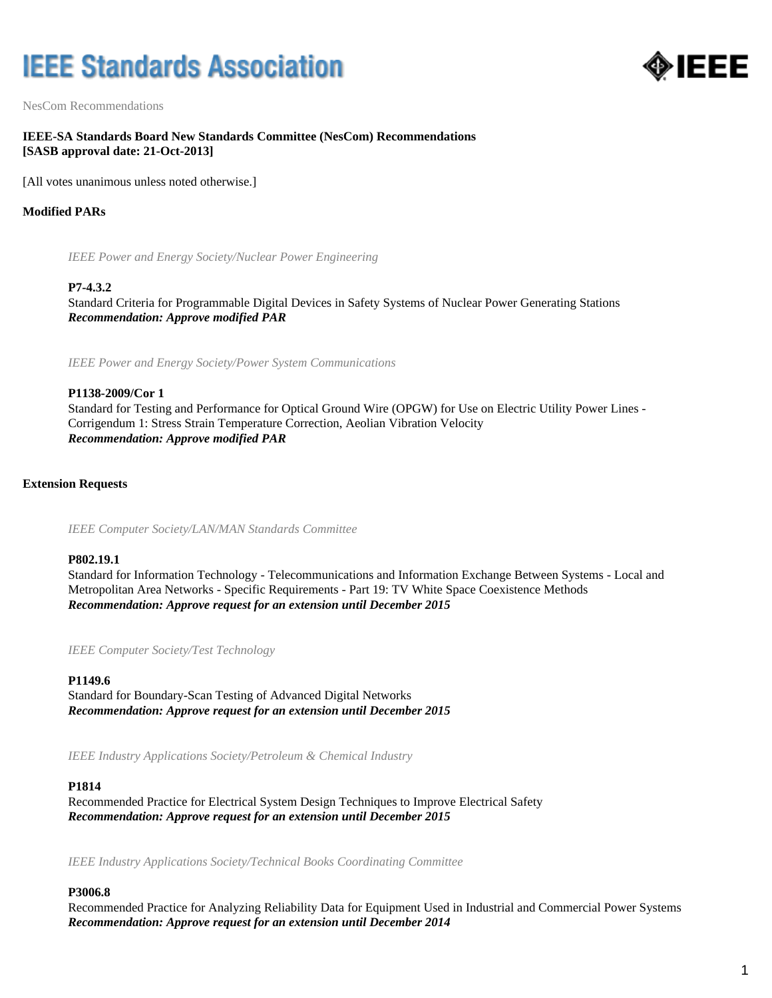# **IEEE Standards Association**



NesCom Recommendations

## **IEEE-SA Standards Board New Standards Committee (NesCom) Recommendations [SASB approval date: 21-Oct-2013]**

[All votes unanimous unless noted otherwise.]

## **Modified PARs**

*IEEE Power and Energy Society/Nuclear Power Engineering*

#### **P7-4.3.2**

Standard Criteria for Programmable Digital Devices in Safety Systems of Nuclear Power Generating Stations *Recommendation: Approve modified PAR*

*IEEE Power and Energy Society/Power System Communications*

## **P1138-2009/Cor 1**

Standard for Testing and Performance for Optical Ground Wire (OPGW) for Use on Electric Utility Power Lines - Corrigendum 1: Stress Strain Temperature Correction, Aeolian Vibration Velocity *Recommendation: Approve modified PAR*

#### **Extension Requests**

*IEEE Computer Society/LAN/MAN Standards Committee*

#### **P802.19.1**

Standard for Information Technology - Telecommunications and Information Exchange Between Systems - Local and Metropolitan Area Networks - Specific Requirements - Part 19: TV White Space Coexistence Methods *Recommendation: Approve request for an extension until December 2015*

*IEEE Computer Society/Test Technology*

#### **P1149.6**

Standard for Boundary-Scan Testing of Advanced Digital Networks *Recommendation: Approve request for an extension until December 2015*

*IEEE Industry Applications Society/Petroleum & Chemical Industry*

#### **P1814**

Recommended Practice for Electrical System Design Techniques to Improve Electrical Safety *Recommendation: Approve request for an extension until December 2015*

*IEEE Industry Applications Society/Technical Books Coordinating Committee*

## **P3006.8**

Recommended Practice for Analyzing Reliability Data for Equipment Used in Industrial and Commercial Power Systems *Recommendation: Approve request for an extension until December 2014*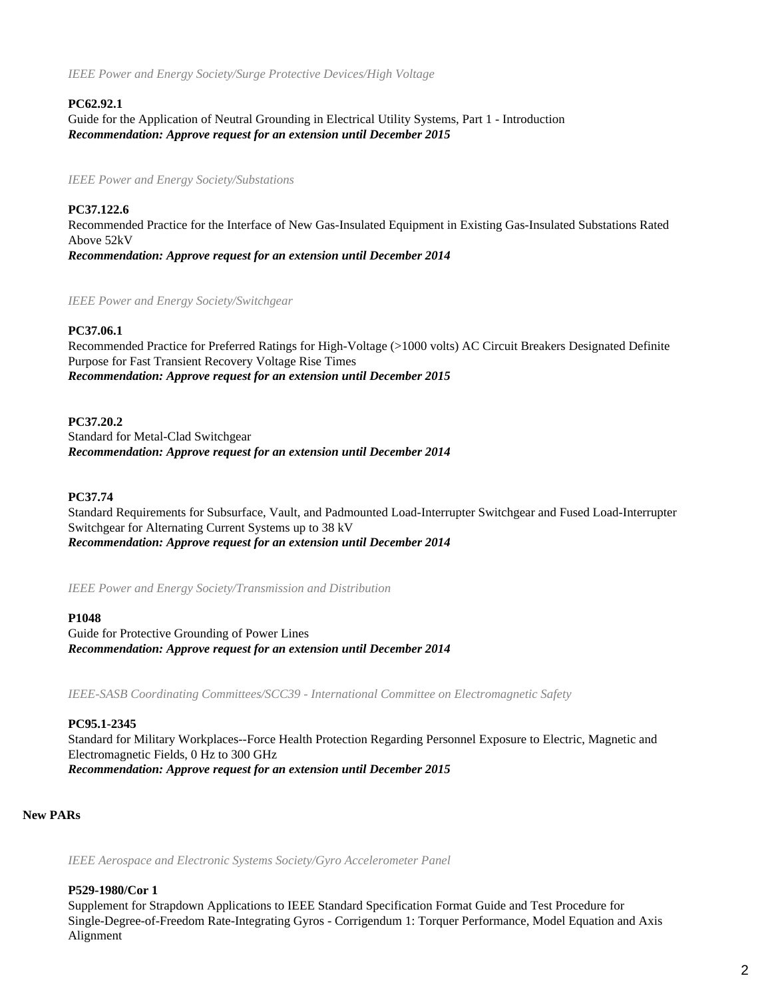*IEEE Power and Energy Society/Surge Protective Devices/High Voltage*

# **PC62.92.1**

Guide for the Application of Neutral Grounding in Electrical Utility Systems, Part 1 - Introduction *Recommendation: Approve request for an extension until December 2015*

*IEEE Power and Energy Society/Substations*

**PC37.122.6** Recommended Practice for the Interface of New Gas-Insulated Equipment in Existing Gas-Insulated Substations Rated Above 52kV *Recommendation: Approve request for an extension until December 2014*

*IEEE Power and Energy Society/Switchgear*

## **PC37.06.1**

Recommended Practice for Preferred Ratings for High-Voltage (>1000 volts) AC Circuit Breakers Designated Definite Purpose for Fast Transient Recovery Voltage Rise Times *Recommendation: Approve request for an extension until December 2015*

**PC37.20.2** Standard for Metal-Clad Switchgear *Recommendation: Approve request for an extension until December 2014*

# **PC37.74**

Standard Requirements for Subsurface, Vault, and Padmounted Load-Interrupter Switchgear and Fused Load-Interrupter Switchgear for Alternating Current Systems up to 38 kV *Recommendation: Approve request for an extension until December 2014*

*IEEE Power and Energy Society/Transmission and Distribution*

## **P1048**

Guide for Protective Grounding of Power Lines *Recommendation: Approve request for an extension until December 2014*

*IEEE-SASB Coordinating Committees/SCC39 - International Committee on Electromagnetic Safety*

## **PC95.1-2345**

Standard for Military Workplaces--Force Health Protection Regarding Personnel Exposure to Electric, Magnetic and Electromagnetic Fields, 0 Hz to 300 GHz *Recommendation: Approve request for an extension until December 2015*

#### **New PARs**

*IEEE Aerospace and Electronic Systems Society/Gyro Accelerometer Panel*

## **P529-1980/Cor 1**

Supplement for Strapdown Applications to IEEE Standard Specification Format Guide and Test Procedure for Single-Degree-of-Freedom Rate-Integrating Gyros - Corrigendum 1: Torquer Performance, Model Equation and Axis Alignment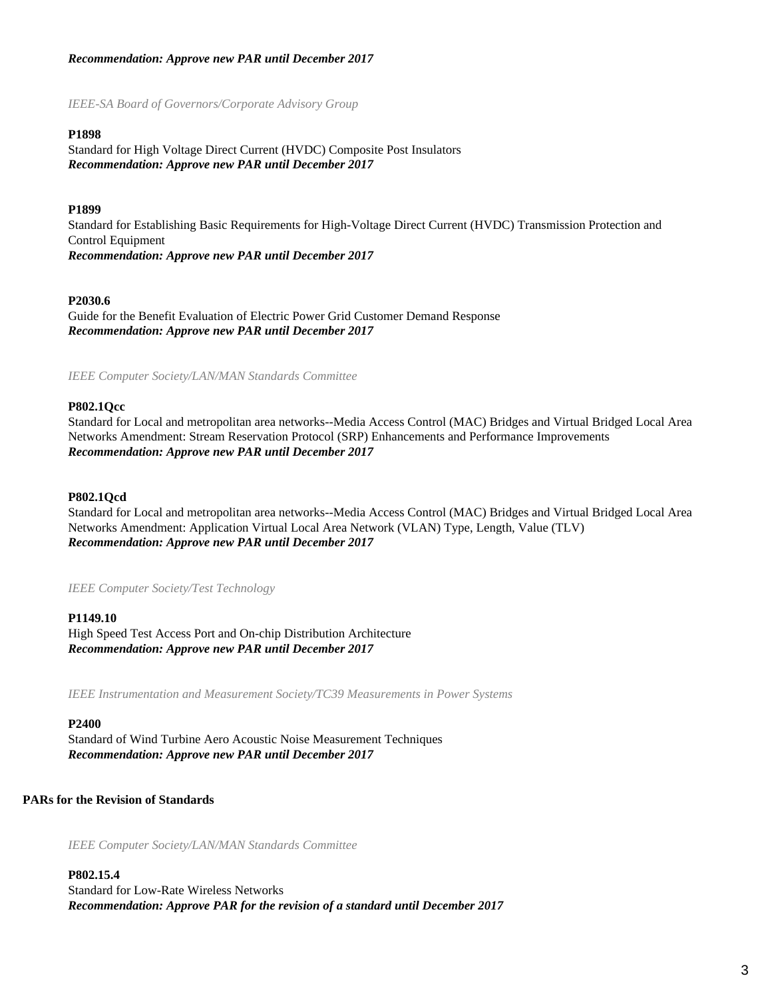# *Recommendation: Approve new PAR until December 2017*

*IEEE-SA Board of Governors/Corporate Advisory Group*

## **P1898**

Standard for High Voltage Direct Current (HVDC) Composite Post Insulators *Recommendation: Approve new PAR until December 2017*

## **P1899**

Standard for Establishing Basic Requirements for High-Voltage Direct Current (HVDC) Transmission Protection and Control Equipment *Recommendation: Approve new PAR until December 2017*

## **P2030.6**

Guide for the Benefit Evaluation of Electric Power Grid Customer Demand Response *Recommendation: Approve new PAR until December 2017*

*IEEE Computer Society/LAN/MAN Standards Committee*

## **P802.1Qcc**

Standard for Local and metropolitan area networks--Media Access Control (MAC) Bridges and Virtual Bridged Local Area Networks Amendment: Stream Reservation Protocol (SRP) Enhancements and Performance Improvements *Recommendation: Approve new PAR until December 2017*

## **P802.1Qcd**

Standard for Local and metropolitan area networks--Media Access Control (MAC) Bridges and Virtual Bridged Local Area Networks Amendment: Application Virtual Local Area Network (VLAN) Type, Length, Value (TLV) *Recommendation: Approve new PAR until December 2017*

*IEEE Computer Society/Test Technology*

#### **P1149.10**

High Speed Test Access Port and On-chip Distribution Architecture *Recommendation: Approve new PAR until December 2017*

*IEEE Instrumentation and Measurement Society/TC39 Measurements in Power Systems*

#### **P2400**

Standard of Wind Turbine Aero Acoustic Noise Measurement Techniques *Recommendation: Approve new PAR until December 2017*

## **PARs for the Revision of Standards**

*IEEE Computer Society/LAN/MAN Standards Committee*

**P802.15.4** Standard for Low-Rate Wireless Networks *Recommendation: Approve PAR for the revision of a standard until December 2017*